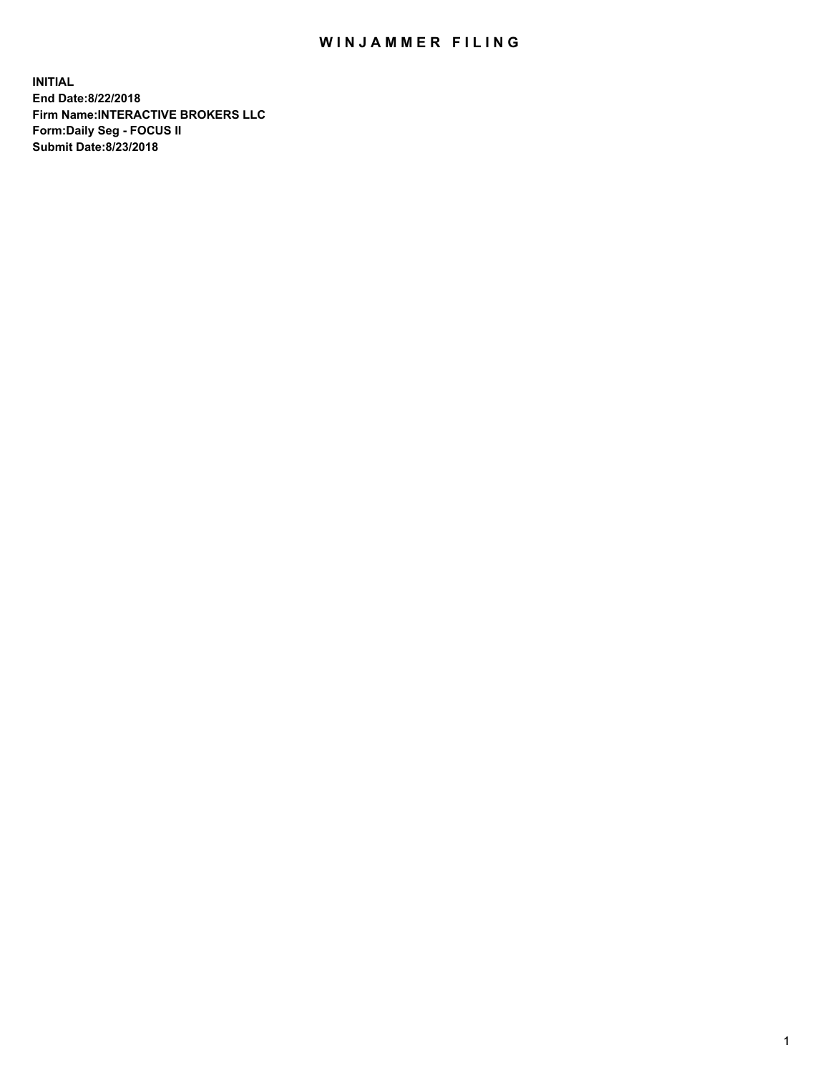## WIN JAMMER FILING

**INITIAL End Date:8/22/2018 Firm Name:INTERACTIVE BROKERS LLC Form:Daily Seg - FOCUS II Submit Date:8/23/2018**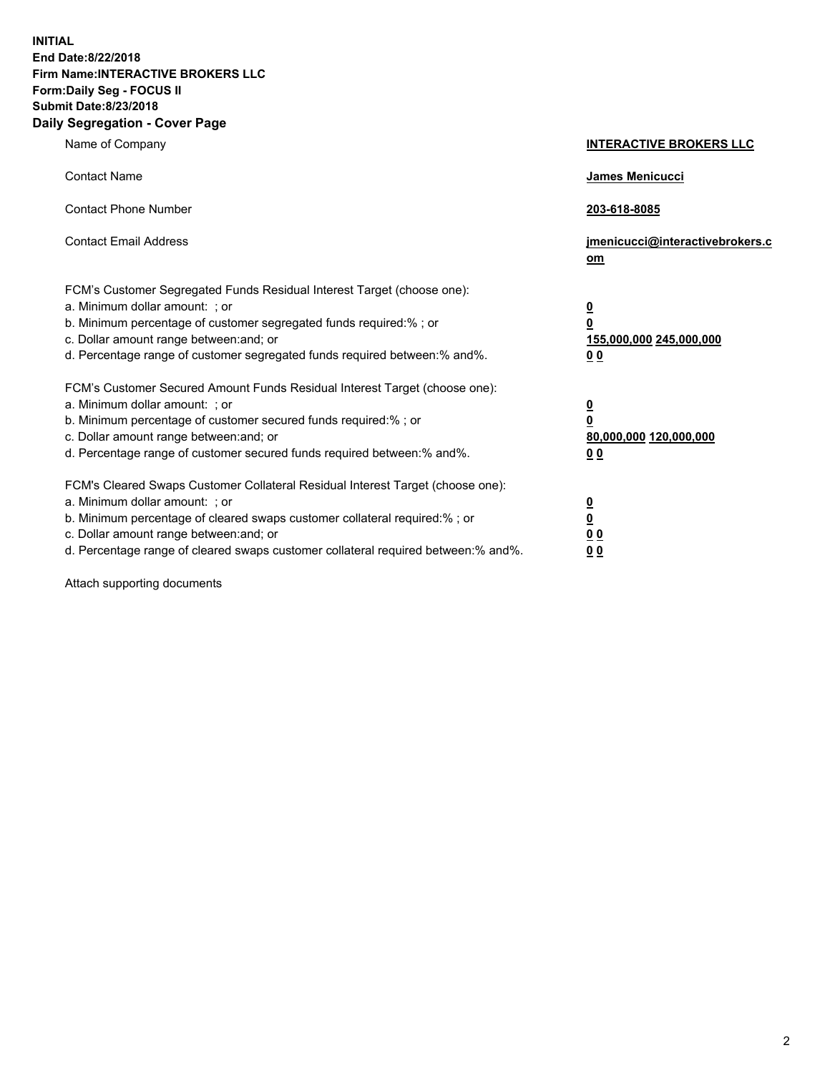**INITIAL End Date:8/22/2018 Firm Name:INTERACTIVE BROKERS LLC Form:Daily Seg - FOCUS II Submit Date:8/23/2018 Daily Segregation - Cover Page**

| Name of Company                                                                                                                                                                                                                                                                                                                | <b>INTERACTIVE BROKERS LLC</b>                                                   |
|--------------------------------------------------------------------------------------------------------------------------------------------------------------------------------------------------------------------------------------------------------------------------------------------------------------------------------|----------------------------------------------------------------------------------|
| <b>Contact Name</b>                                                                                                                                                                                                                                                                                                            | James Menicucci                                                                  |
| <b>Contact Phone Number</b>                                                                                                                                                                                                                                                                                                    | 203-618-8085                                                                     |
| <b>Contact Email Address</b>                                                                                                                                                                                                                                                                                                   | jmenicucci@interactivebrokers.c<br>om                                            |
| FCM's Customer Segregated Funds Residual Interest Target (choose one):<br>a. Minimum dollar amount: ; or<br>b. Minimum percentage of customer segregated funds required:% ; or<br>c. Dollar amount range between: and; or<br>d. Percentage range of customer segregated funds required between:% and%.                         | <u>0</u><br>$\overline{\mathbf{0}}$<br>155,000,000 245,000,000<br>0 <sub>0</sub> |
| FCM's Customer Secured Amount Funds Residual Interest Target (choose one):<br>a. Minimum dollar amount: ; or<br>b. Minimum percentage of customer secured funds required:% ; or<br>c. Dollar amount range between: and; or<br>d. Percentage range of customer secured funds required between:% and%.                           | <u>0</u><br>$\overline{\mathbf{0}}$<br>80,000,000 120,000,000<br>0 <sub>0</sub>  |
| FCM's Cleared Swaps Customer Collateral Residual Interest Target (choose one):<br>a. Minimum dollar amount: ; or<br>b. Minimum percentage of cleared swaps customer collateral required:% ; or<br>c. Dollar amount range between: and; or<br>d. Percentage range of cleared swaps customer collateral required between:% and%. | <u>0</u><br>$\underline{\mathbf{0}}$<br>0 <sub>0</sub><br>0 <sub>0</sub>         |

Attach supporting documents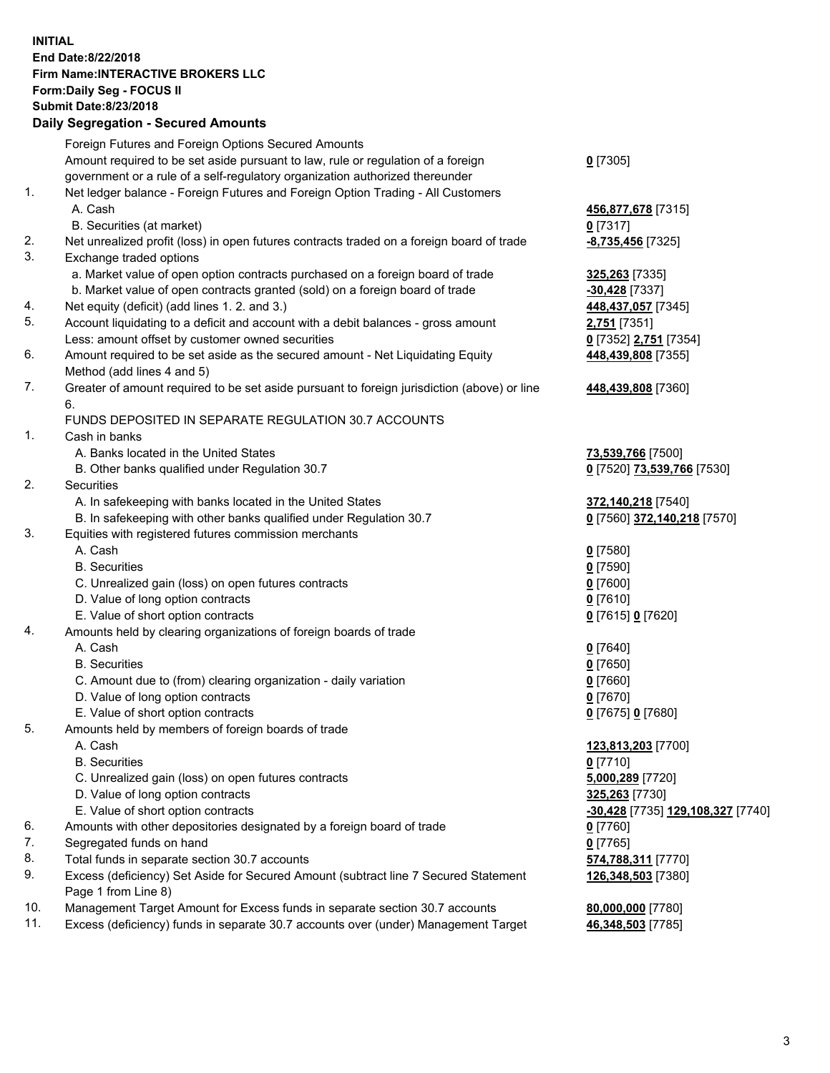## **INITIAL End Date:8/22/2018 Firm Name:INTERACTIVE BROKERS LLC Form:Daily Seg - FOCUS II Submit Date:8/23/2018 Daily Segregation - Secured Amounts**

|     | Daily Ocglegation - Occured Anioants                                                                       |                                   |
|-----|------------------------------------------------------------------------------------------------------------|-----------------------------------|
|     | Foreign Futures and Foreign Options Secured Amounts                                                        |                                   |
|     | Amount required to be set aside pursuant to law, rule or regulation of a foreign                           | $0$ [7305]                        |
|     | government or a rule of a self-regulatory organization authorized thereunder                               |                                   |
| 1.  | Net ledger balance - Foreign Futures and Foreign Option Trading - All Customers                            |                                   |
|     | A. Cash                                                                                                    | 456,877,678 [7315]                |
|     | B. Securities (at market)                                                                                  | $0$ [7317]                        |
| 2.  | Net unrealized profit (loss) in open futures contracts traded on a foreign board of trade                  | -8,735,456 [7325]                 |
| 3.  | Exchange traded options                                                                                    |                                   |
|     | a. Market value of open option contracts purchased on a foreign board of trade                             | 325,263 [7335]                    |
|     | b. Market value of open contracts granted (sold) on a foreign board of trade                               | $-30,428$ [7337]                  |
| 4.  | Net equity (deficit) (add lines 1.2. and 3.)                                                               | 448,437,057 [7345]                |
| 5.  | Account liquidating to a deficit and account with a debit balances - gross amount                          | 2,751 [7351]                      |
|     | Less: amount offset by customer owned securities                                                           | 0 [7352] 2,751 [7354]             |
| 6.  | Amount required to be set aside as the secured amount - Net Liquidating Equity                             | 448,439,808 [7355]                |
|     | Method (add lines 4 and 5)                                                                                 |                                   |
| 7.  | Greater of amount required to be set aside pursuant to foreign jurisdiction (above) or line<br>6.          | 448,439,808 [7360]                |
|     | FUNDS DEPOSITED IN SEPARATE REGULATION 30.7 ACCOUNTS                                                       |                                   |
| 1.  | Cash in banks                                                                                              |                                   |
|     | A. Banks located in the United States                                                                      | 73,539,766 [7500]                 |
|     | B. Other banks qualified under Regulation 30.7                                                             | 0 [7520] 73,539,766 [7530]        |
| 2.  | Securities                                                                                                 |                                   |
|     | A. In safekeeping with banks located in the United States                                                  | 372,140,218 [7540]                |
|     | B. In safekeeping with other banks qualified under Regulation 30.7                                         | 0 [7560] 372,140,218 [7570]       |
| 3.  | Equities with registered futures commission merchants                                                      |                                   |
|     | A. Cash                                                                                                    | $0$ [7580]                        |
|     | <b>B.</b> Securities                                                                                       | $0$ [7590]                        |
|     | C. Unrealized gain (loss) on open futures contracts                                                        | $0$ [7600]                        |
|     | D. Value of long option contracts                                                                          | $0$ [7610]                        |
|     | E. Value of short option contracts                                                                         | 0 [7615] 0 [7620]                 |
| 4.  | Amounts held by clearing organizations of foreign boards of trade                                          |                                   |
|     | A. Cash                                                                                                    | $0$ [7640]                        |
|     | <b>B.</b> Securities                                                                                       | $0$ [7650]                        |
|     | C. Amount due to (from) clearing organization - daily variation                                            | $0$ [7660]                        |
|     | D. Value of long option contracts                                                                          | $0$ [7670]                        |
|     | E. Value of short option contracts                                                                         | 0 [7675] 0 [7680]                 |
| 5.  | Amounts held by members of foreign boards of trade                                                         |                                   |
|     | A. Cash                                                                                                    | 123,813,203 [7700]                |
|     | <b>B.</b> Securities                                                                                       | $0$ [7710]                        |
|     | C. Unrealized gain (loss) on open futures contracts                                                        | 5,000,289 [7720]                  |
|     | D. Value of long option contracts                                                                          | 325,263 [7730]                    |
|     | E. Value of short option contracts                                                                         | -30,428 [7735] 129,108,327 [7740] |
| 6.  | Amounts with other depositories designated by a foreign board of trade                                     | 0 [7760]                          |
| 7.  | Segregated funds on hand                                                                                   | $0$ [7765]                        |
| 8.  | Total funds in separate section 30.7 accounts                                                              | 574,788,311 [7770]                |
| 9.  | Excess (deficiency) Set Aside for Secured Amount (subtract line 7 Secured Statement<br>Page 1 from Line 8) | 126,348,503 [7380]                |
| 10. | Management Target Amount for Excess funds in separate section 30.7 accounts                                | 80,000,000 [7780]                 |
| 11. | Excess (deficiency) funds in separate 30.7 accounts over (under) Management Target                         | 46,348,503 [7785]                 |
|     |                                                                                                            |                                   |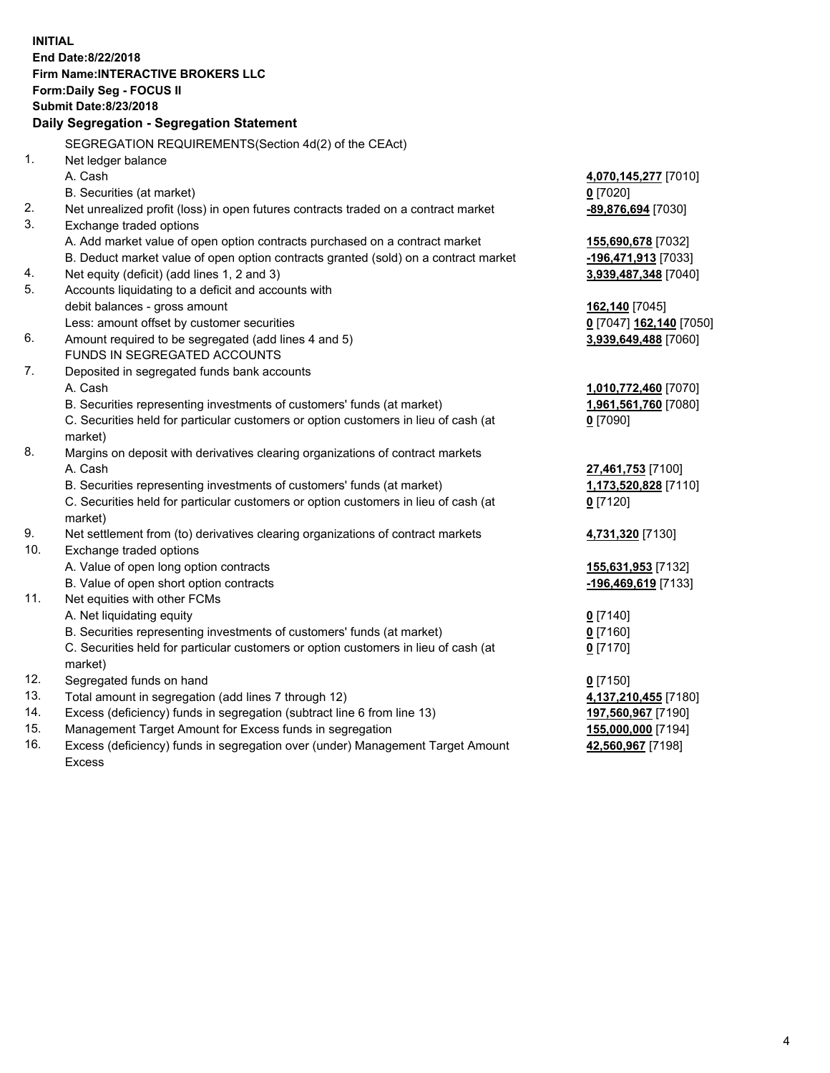**INITIAL End Date:8/22/2018 Firm Name:INTERACTIVE BROKERS LLC Form:Daily Seg - FOCUS II Submit Date:8/23/2018 Daily Segregation - Segregation Statement** SEGREGATION REQUIREMENTS(Section 4d(2) of the CEAct) 1. Net ledger balance A. Cash **4,070,145,277** [7010] B. Securities (at market) **0** [7020] 2. Net unrealized profit (loss) in open futures contracts traded on a contract market **-89,876,694** [7030] 3. Exchange traded options A. Add market value of open option contracts purchased on a contract market **155,690,678** [7032] B. Deduct market value of open option contracts granted (sold) on a contract market **-196,471,913** [7033] 4. Net equity (deficit) (add lines 1, 2 and 3) **3,939,487,348** [7040] 5. Accounts liquidating to a deficit and accounts with debit balances - gross amount **162,140** [7045] Less: amount offset by customer securities **0** [7047] **162,140** [7050] 6. Amount required to be segregated (add lines 4 and 5) **3,939,649,488** [7060] FUNDS IN SEGREGATED ACCOUNTS 7. Deposited in segregated funds bank accounts A. Cash **1,010,772,460** [7070] B. Securities representing investments of customers' funds (at market) **1,961,561,760** [7080] C. Securities held for particular customers or option customers in lieu of cash (at market) **0** [7090] 8. Margins on deposit with derivatives clearing organizations of contract markets A. Cash **27,461,753** [7100] B. Securities representing investments of customers' funds (at market) **1,173,520,828** [7110] C. Securities held for particular customers or option customers in lieu of cash (at market) **0** [7120] 9. Net settlement from (to) derivatives clearing organizations of contract markets **4,731,320** [7130] 10. Exchange traded options A. Value of open long option contracts **155,631,953** [7132] B. Value of open short option contracts **-196,469,619** [7133] 11. Net equities with other FCMs A. Net liquidating equity **0** [7140] B. Securities representing investments of customers' funds (at market) **0** [7160] C. Securities held for particular customers or option customers in lieu of cash (at market) **0** [7170] 12. Segregated funds on hand **0** [7150] 13. Total amount in segregation (add lines 7 through 12) **4,137,210,455** [7180] 14. Excess (deficiency) funds in segregation (subtract line 6 from line 13) **197,560,967** [7190] 15. Management Target Amount for Excess funds in segregation **155,000,000** [7194] **42,560,967** [7198]

16. Excess (deficiency) funds in segregation over (under) Management Target Amount Excess